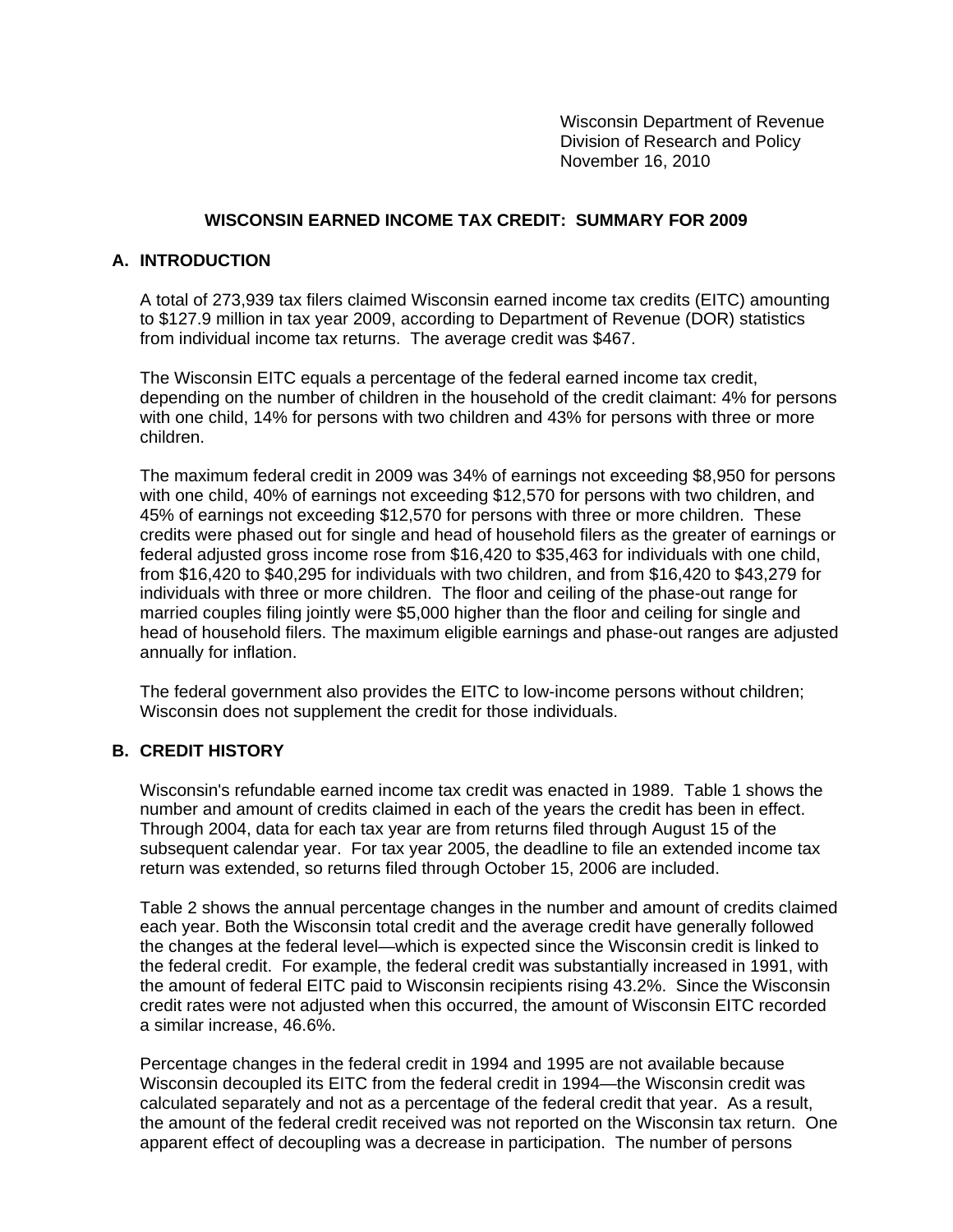Wisconsin Department of Revenue Division of Research and Policy November 16, 2010

### **WISCONSIN EARNED INCOME TAX CREDIT: SUMMARY FOR 2009**

#### **A. INTRODUCTION**

A total of 273,939 tax filers claimed Wisconsin earned income tax credits (EITC) amounting to \$127.9 million in tax year 2009, according to Department of Revenue (DOR) statistics from individual income tax returns. The average credit was \$467.

The Wisconsin EITC equals a percentage of the federal earned income tax credit, depending on the number of children in the household of the credit claimant: 4% for persons with one child, 14% for persons with two children and 43% for persons with three or more children.

The maximum federal credit in 2009 was 34% of earnings not exceeding \$8,950 for persons with one child, 40% of earnings not exceeding \$12,570 for persons with two children, and 45% of earnings not exceeding \$12,570 for persons with three or more children. These credits were phased out for single and head of household filers as the greater of earnings or federal adjusted gross income rose from \$16,420 to \$35,463 for individuals with one child, from \$16,420 to \$40,295 for individuals with two children, and from \$16,420 to \$43,279 for individuals with three or more children. The floor and ceiling of the phase-out range for married couples filing jointly were \$5,000 higher than the floor and ceiling for single and head of household filers. The maximum eligible earnings and phase-out ranges are adjusted annually for inflation.

The federal government also provides the EITC to low-income persons without children; Wisconsin does not supplement the credit for those individuals.

#### **B. CREDIT HISTORY**

Wisconsin's refundable earned income tax credit was enacted in 1989. Table 1 shows the number and amount of credits claimed in each of the years the credit has been in effect. Through 2004, data for each tax year are from returns filed through August 15 of the subsequent calendar year. For tax year 2005, the deadline to file an extended income tax return was extended, so returns filed through October 15, 2006 are included.

Table 2 shows the annual percentage changes in the number and amount of credits claimed each year. Both the Wisconsin total credit and the average credit have generally followed the changes at the federal level—which is expected since the Wisconsin credit is linked to the federal credit. For example, the federal credit was substantially increased in 1991, with the amount of federal EITC paid to Wisconsin recipients rising 43.2%. Since the Wisconsin credit rates were not adjusted when this occurred, the amount of Wisconsin EITC recorded a similar increase, 46.6%.

Percentage changes in the federal credit in 1994 and 1995 are not available because Wisconsin decoupled its EITC from the federal credit in 1994—the Wisconsin credit was calculated separately and not as a percentage of the federal credit that year. As a result, the amount of the federal credit received was not reported on the Wisconsin tax return. One apparent effect of decoupling was a decrease in participation. The number of persons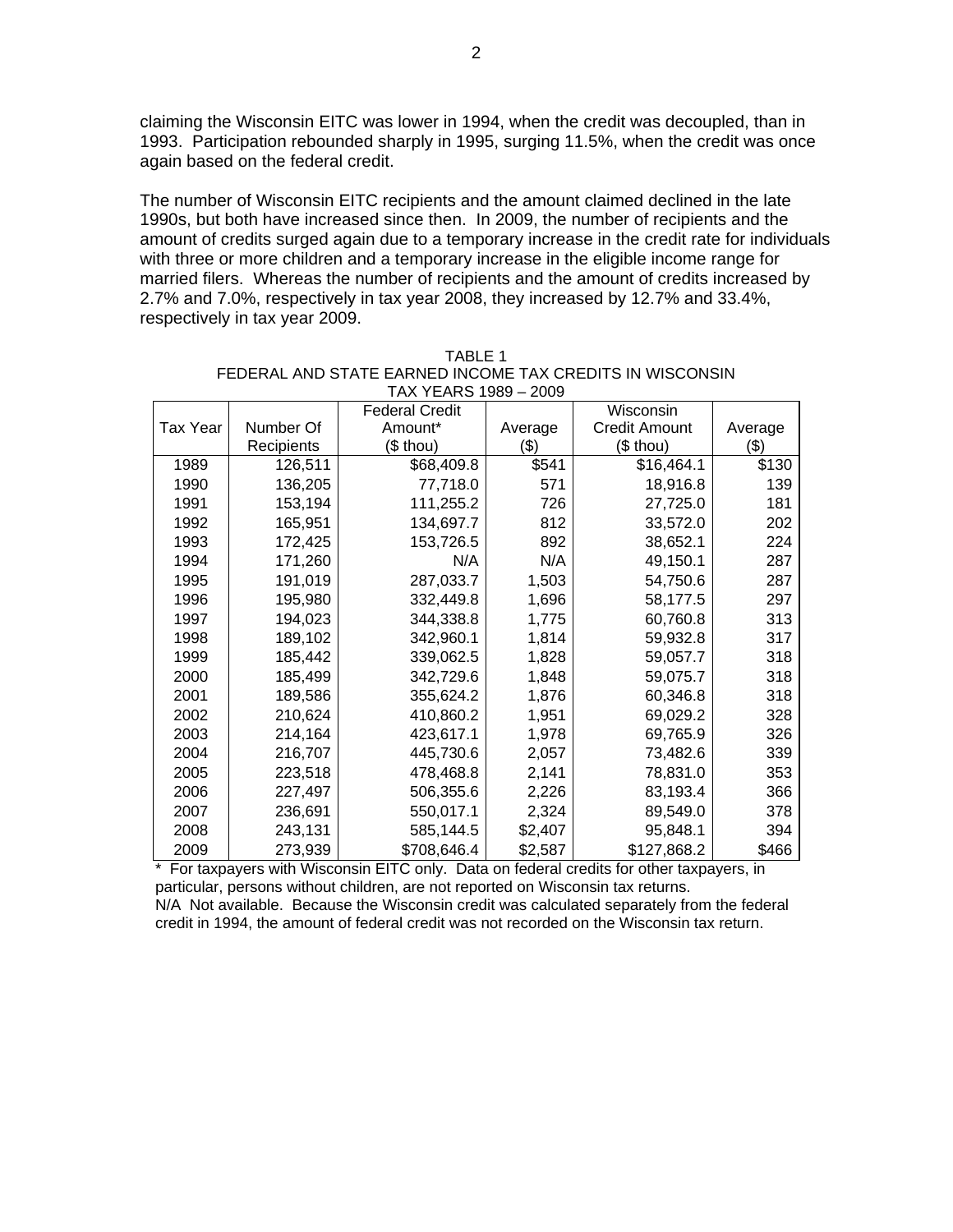claiming the Wisconsin EITC was lower in 1994, when the credit was decoupled, than in 1993. Participation rebounded sharply in 1995, surging 11.5%, when the credit was once again based on the federal credit.

The number of Wisconsin EITC recipients and the amount claimed declined in the late 1990s, but both have increased since then. In 2009, the number of recipients and the amount of credits surged again due to a temporary increase in the credit rate for individuals with three or more children and a temporary increase in the eligible income range for married filers. Whereas the number of recipients and the amount of credits increased by 2.7% and 7.0%, respectively in tax year 2008, they increased by 12.7% and 33.4%, respectively in tax year 2009.

| TAX YEARS 1989 – 2009 |            |                       |         |                      |         |  |  |
|-----------------------|------------|-----------------------|---------|----------------------|---------|--|--|
|                       |            | <b>Federal Credit</b> |         | Wisconsin            |         |  |  |
| <b>Tax Year</b>       | Number Of  | Amount*               | Average | <b>Credit Amount</b> | Average |  |  |
|                       | Recipients | (\$ thou)             | (\$)    | (\$ thou)            | (\$)    |  |  |
| 1989                  | 126,511    | \$68,409.8            | \$541   | \$16,464.1           | \$130   |  |  |
| 1990                  | 136,205    | 77,718.0              | 571     | 18,916.8             | 139     |  |  |
| 1991                  | 153,194    | 111,255.2             | 726     | 27,725.0             | 181     |  |  |
| 1992                  | 165,951    | 134,697.7             | 812     | 33,572.0             | 202     |  |  |
| 1993                  | 172,425    | 153,726.5             | 892     | 38,652.1             | 224     |  |  |
| 1994                  | 171,260    | N/A                   | N/A     | 49,150.1             | 287     |  |  |
| 1995                  | 191,019    | 287,033.7             | 1,503   | 54,750.6             | 287     |  |  |
| 1996                  | 195,980    | 332,449.8             | 1,696   | 58,177.5             | 297     |  |  |
| 1997                  | 194,023    | 344,338.8             | 1,775   | 60,760.8             | 313     |  |  |
| 1998                  | 189,102    | 342,960.1             | 1,814   | 59,932.8             | 317     |  |  |
| 1999                  | 185,442    | 339,062.5             | 1,828   | 59,057.7             | 318     |  |  |
| 2000                  | 185,499    | 342,729.6             | 1,848   | 59,075.7             | 318     |  |  |
| 2001                  | 189,586    | 355,624.2             | 1,876   | 60,346.8             | 318     |  |  |
| 2002                  | 210,624    | 410,860.2             | 1,951   | 69,029.2             | 328     |  |  |
| 2003                  | 214,164    | 423,617.1             | 1,978   | 69,765.9             | 326     |  |  |
| 2004                  | 216,707    | 445,730.6             | 2,057   | 73,482.6             | 339     |  |  |
| 2005                  | 223,518    | 478,468.8             | 2,141   | 78,831.0             | 353     |  |  |
| 2006                  | 227,497    | 506,355.6             | 2,226   | 83,193.4             | 366     |  |  |
| 2007                  | 236,691    | 550,017.1             | 2,324   | 89,549.0             | 378     |  |  |
| 2008                  | 243,131    | 585,144.5             | \$2,407 | 95,848.1             | 394     |  |  |
| 2009                  | 273,939    | \$708,646.4           | \$2,587 | \$127,868.2          | \$466   |  |  |

| TARI F 1                                                 |
|----------------------------------------------------------|
| FEDERAL AND STATE EARNED INCOME TAX CREDITS IN WISCONSIN |
| $TAY VFARS 1989 - 2009$                                  |

\* For taxpayers with Wisconsin EITC only. Data on federal credits for other taxpayers, in particular, persons without children, are not reported on Wisconsin tax returns. N/A Not available. Because the Wisconsin credit was calculated separately from the federal credit in 1994, the amount of federal credit was not recorded on the Wisconsin tax return.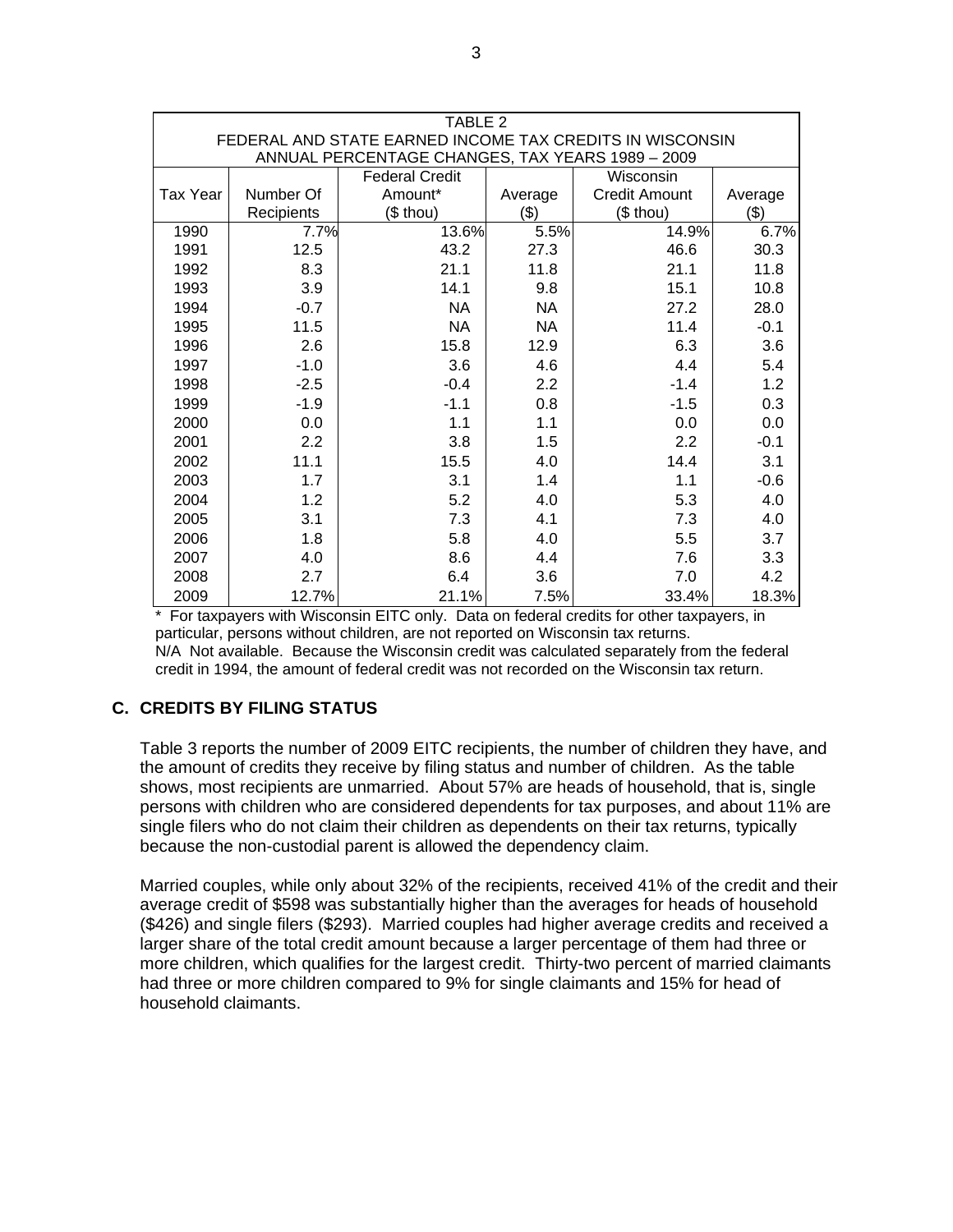| TABLE 2<br>FEDERAL AND STATE EARNED INCOME TAX CREDITS IN WISCONSIN |                                    |           |           |                      |         |  |  |  |
|---------------------------------------------------------------------|------------------------------------|-----------|-----------|----------------------|---------|--|--|--|
| ANNUAL PERCENTAGE CHANGES, TAX YEARS 1989 - 2009                    |                                    |           |           |                      |         |  |  |  |
|                                                                     | <b>Federal Credit</b><br>Wisconsin |           |           |                      |         |  |  |  |
| Tax Year                                                            | Number Of                          | Amount*   | Average   | <b>Credit Amount</b> | Average |  |  |  |
|                                                                     | Recipients                         | (\$ thou) | (3)       | (\$ thou)            | (3)     |  |  |  |
| 1990                                                                | 7.7%                               | 13.6%     | 5.5%      | 14.9%                | 6.7%    |  |  |  |
| 1991                                                                | 12.5                               | 43.2      | 27.3      | 46.6                 | 30.3    |  |  |  |
| 1992                                                                | 8.3                                | 21.1      | 11.8      | 21.1                 | 11.8    |  |  |  |
| 1993                                                                | 3.9                                | 14.1      | 9.8       | 15.1                 | 10.8    |  |  |  |
| 1994                                                                | $-0.7$                             | <b>NA</b> | <b>NA</b> | 27.2                 | 28.0    |  |  |  |
| 1995                                                                | 11.5                               | <b>NA</b> | <b>NA</b> | 11.4                 | $-0.1$  |  |  |  |
| 1996                                                                | 2.6                                | 15.8      | 12.9      | 6.3                  | 3.6     |  |  |  |
| 1997                                                                | $-1.0$                             | 3.6       | 4.6       | 4.4                  | 5.4     |  |  |  |
| 1998                                                                | $-2.5$                             | $-0.4$    | 2.2       | $-1.4$               | 1.2     |  |  |  |
| 1999                                                                | $-1.9$                             | $-1.1$    | 0.8       | $-1.5$               | 0.3     |  |  |  |
| 2000                                                                | 0.0                                | 1.1       | 1.1       | 0.0                  | 0.0     |  |  |  |
| 2001                                                                | 2.2                                | 3.8       | 1.5       | 2.2                  | $-0.1$  |  |  |  |
| 2002                                                                | 11.1                               | 15.5      | 4.0       | 14.4                 | 3.1     |  |  |  |
| 2003                                                                | 1.7                                | 3.1       | 1.4       | 1.1                  | $-0.6$  |  |  |  |
| 2004                                                                | 1.2                                | 5.2       | 4.0       | 5.3                  | 4.0     |  |  |  |
| 2005                                                                | 3.1                                | 7.3       | 4.1       | 7.3                  | 4.0     |  |  |  |
| 2006                                                                | 1.8                                | 5.8       | 4.0       | 5.5                  | 3.7     |  |  |  |
| 2007                                                                | 4.0                                | 8.6       | 4.4       | 7.6                  | 3.3     |  |  |  |
| 2008                                                                | 2.7                                | 6.4       | 3.6       | 7.0                  | 4.2     |  |  |  |
| 2009                                                                | 12.7%                              | 21.1%     | 7.5%      | 33.4%                | 18.3%   |  |  |  |

\* For taxpayers with Wisconsin EITC only. Data on federal credits for other taxpayers, in particular, persons without children, are not reported on Wisconsin tax returns. N/A Not available. Because the Wisconsin credit was calculated separately from the federal credit in 1994, the amount of federal credit was not recorded on the Wisconsin tax return.

# **C. CREDITS BY FILING STATUS**

Table 3 reports the number of 2009 EITC recipients, the number of children they have, and the amount of credits they receive by filing status and number of children. As the table shows, most recipients are unmarried. About 57% are heads of household, that is, single persons with children who are considered dependents for tax purposes, and about 11% are single filers who do not claim their children as dependents on their tax returns, typically because the non-custodial parent is allowed the dependency claim.

Married couples, while only about 32% of the recipients, received 41% of the credit and their average credit of \$598 was substantially higher than the averages for heads of household (\$426) and single filers (\$293). Married couples had higher average credits and received a larger share of the total credit amount because a larger percentage of them had three or more children, which qualifies for the largest credit. Thirty-two percent of married claimants had three or more children compared to 9% for single claimants and 15% for head of household claimants.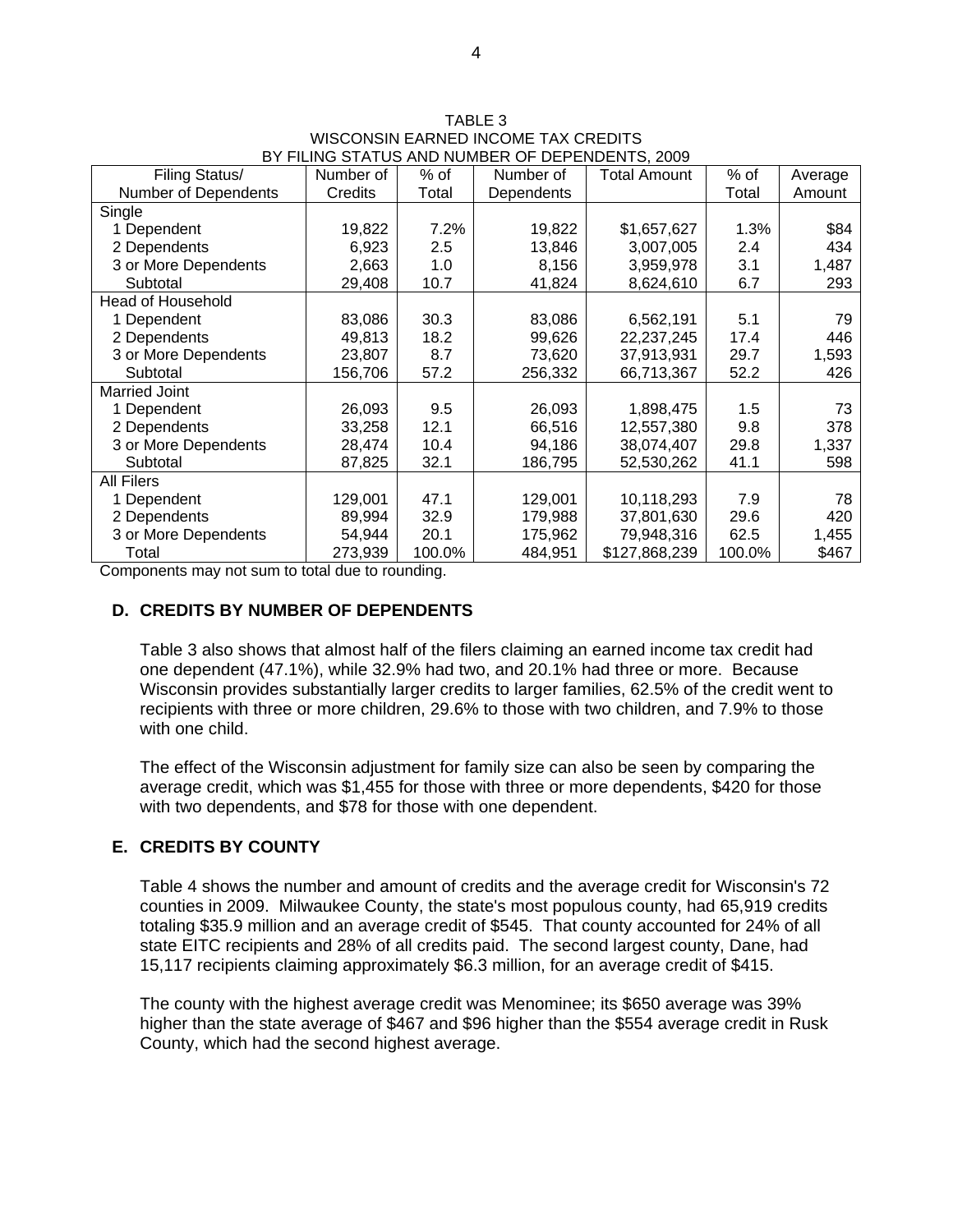| Filing Status/           | Number of | $%$ of | Number of  | <b>Total Amount</b> | % of   | Average |
|--------------------------|-----------|--------|------------|---------------------|--------|---------|
| Number of Dependents     | Credits   | Total  | Dependents |                     | Total  | Amount  |
| Single                   |           |        |            |                     |        |         |
| 1 Dependent              | 19,822    | 7.2%   | 19,822     | \$1,657,627         | 1.3%   | \$84    |
| 2 Dependents             | 6,923     | 2.5    | 13,846     | 3,007,005           | 2.4    | 434     |
| 3 or More Dependents     | 2,663     | 1.0    | 8,156      | 3,959,978           | 3.1    | 1,487   |
| Subtotal                 | 29,408    | 10.7   | 41,824     | 8,624,610           | 6.7    | 293     |
| <b>Head of Household</b> |           |        |            |                     |        |         |
| 1 Dependent              | 83,086    | 30.3   | 83,086     | 6,562,191           | 5.1    | 79      |
| 2 Dependents             | 49,813    | 18.2   | 99,626     | 22,237,245          | 17.4   | 446     |
| 3 or More Dependents     | 23,807    | 8.7    | 73,620     | 37,913,931          | 29.7   | 1,593   |
| Subtotal                 | 156,706   | 57.2   | 256,332    | 66,713,367          | 52.2   | 426     |
| <b>Married Joint</b>     |           |        |            |                     |        |         |
| 1 Dependent              | 26,093    | 9.5    | 26,093     | 1,898,475           | 1.5    | 73      |
| 2 Dependents             | 33,258    | 12.1   | 66,516     | 12,557,380          | 9.8    | 378     |
| 3 or More Dependents     | 28,474    | 10.4   | 94,186     | 38,074,407          | 29.8   | 1,337   |
| Subtotal                 | 87,825    | 32.1   | 186,795    | 52,530,262          | 41.1   | 598     |
| All Filers               |           |        |            |                     |        |         |
| 1 Dependent              | 129,001   | 47.1   | 129,001    | 10,118,293          | 7.9    | 78      |
| 2 Dependents             | 89,994    | 32.9   | 179,988    | 37,801,630          | 29.6   | 420     |
| 3 or More Dependents     | 54,944    | 20.1   | 175,962    | 79,948,316          | 62.5   | 1,455   |
| Total                    | 273,939   | 100.0% | 484,951    | \$127,868,239       | 100.0% | \$467   |

TABLE 3 WISCONSIN EARNED INCOME TAX CREDITS BY FILING STATUS AND NUMBER OF DEPENDENTS, 2009

Components may not sum to total due to rounding.

### **D. CREDITS BY NUMBER OF DEPENDENTS**

Table 3 also shows that almost half of the filers claiming an earned income tax credit had one dependent (47.1%), while 32.9% had two, and 20.1% had three or more. Because Wisconsin provides substantially larger credits to larger families, 62.5% of the credit went to recipients with three or more children, 29.6% to those with two children, and 7.9% to those with one child.

The effect of the Wisconsin adjustment for family size can also be seen by comparing the average credit, which was \$1,455 for those with three or more dependents, \$420 for those with two dependents, and \$78 for those with one dependent.

## **E. CREDITS BY COUNTY**

Table 4 shows the number and amount of credits and the average credit for Wisconsin's 72 counties in 2009. Milwaukee County, the state's most populous county, had 65,919 credits totaling \$35.9 million and an average credit of \$545. That county accounted for 24% of all state EITC recipients and 28% of all credits paid. The second largest county, Dane, had 15,117 recipients claiming approximately \$6.3 million, for an average credit of \$415.

The county with the highest average credit was Menominee; its \$650 average was 39% higher than the state average of \$467 and \$96 higher than the \$554 average credit in Rusk County, which had the second highest average.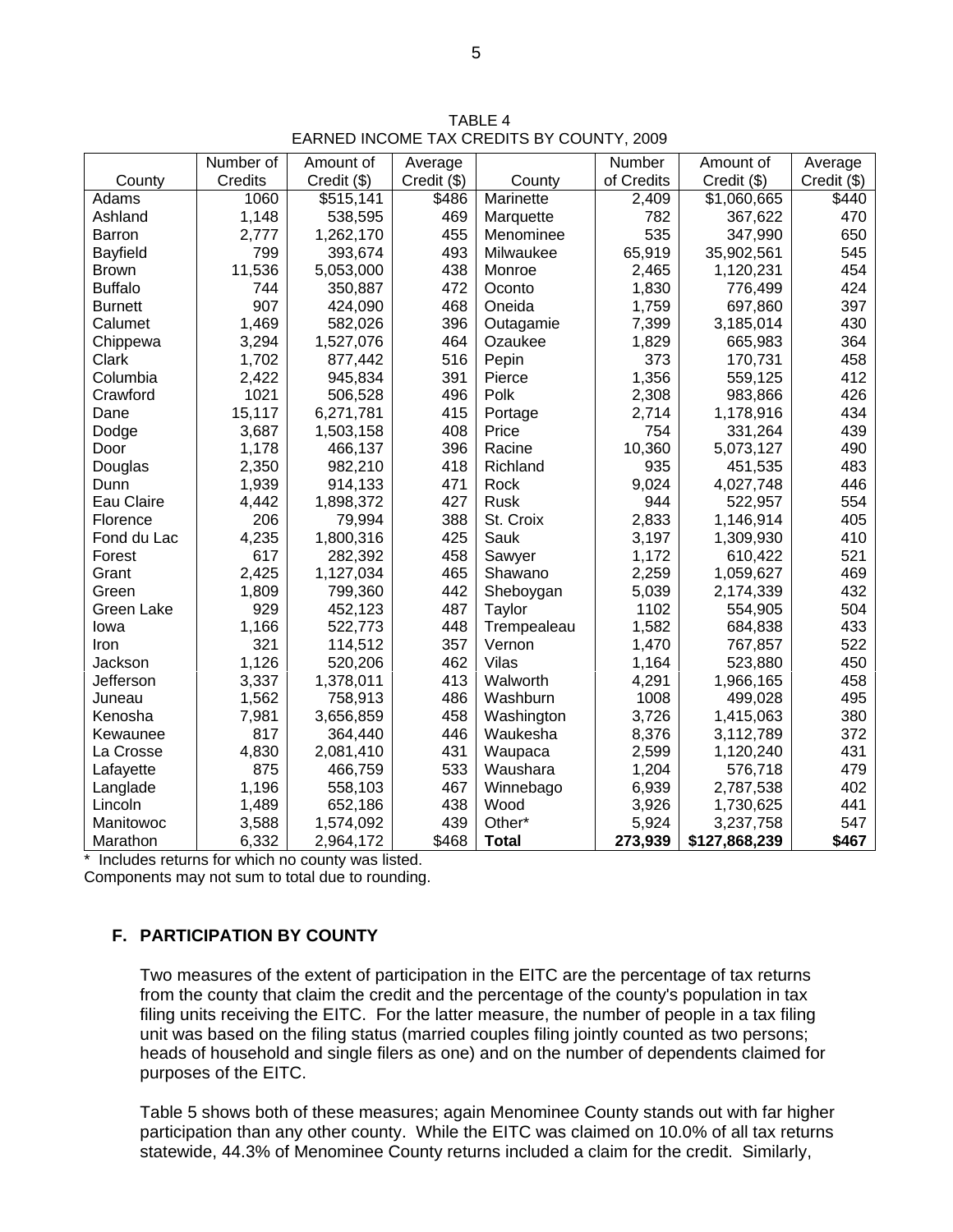TABLE 4 EARNED INCOME TAX CREDITS BY COUNTY, 2009

|                 | Number of | Amount of   | Average     |              | Number     | Amount of     | Average       |
|-----------------|-----------|-------------|-------------|--------------|------------|---------------|---------------|
| County          | Credits   | Credit (\$) | Credit (\$) | County       | of Credits | Credit (\$)   | $Credit$ (\$) |
| Adams           | 1060      | \$515,141   | \$486       | Marinette    | 2,409      | \$1,060,665   | \$440         |
| Ashland         | 1,148     | 538,595     | 469         | Marquette    | 782        | 367,622       | 470           |
| <b>Barron</b>   | 2,777     | 1,262,170   | 455         | Menominee    | 535        | 347,990       | 650           |
| <b>Bayfield</b> | 799       | 393,674     | 493         | Milwaukee    | 65,919     | 35,902,561    | 545           |
| <b>Brown</b>    | 11,536    | 5,053,000   | 438         | Monroe       | 2,465      | 1,120,231     | 454           |
| <b>Buffalo</b>  | 744       | 350,887     | 472         | Oconto       | 1,830      | 776,499       | 424           |
| <b>Burnett</b>  | 907       | 424,090     | 468         | Oneida       | 1,759      | 697,860       | 397           |
| Calumet         | 1,469     | 582,026     | 396         | Outagamie    | 7,399      | 3,185,014     | 430           |
| Chippewa        | 3,294     | 1,527,076   | 464         | Ozaukee      | 1,829      | 665,983       | 364           |
| Clark           | 1,702     | 877,442     | 516         | Pepin        | 373        | 170,731       | 458           |
| Columbia        | 2,422     | 945,834     | 391         | Pierce       | 1,356      | 559,125       | 412           |
| Crawford        | 1021      | 506,528     | 496         | Polk         | 2,308      | 983,866       | 426           |
| Dane            | 15,117    | 6,271,781   | 415         | Portage      | 2,714      | 1,178,916     | 434           |
| Dodge           | 3,687     | 1,503,158   | 408         | Price        | 754        | 331,264       | 439           |
| Door            | 1,178     | 466,137     | 396         | Racine       | 10,360     | 5,073,127     | 490           |
| Douglas         | 2,350     | 982,210     | 418         | Richland     | 935        | 451,535       | 483           |
| Dunn            | 1,939     | 914,133     | 471         | Rock         | 9,024      | 4,027,748     | 446           |
| Eau Claire      | 4,442     | 1,898,372   | 427         | <b>Rusk</b>  | 944        | 522,957       | 554           |
| Florence        | 206       | 79,994      | 388         | St. Croix    | 2,833      | 1,146,914     | 405           |
| Fond du Lac     | 4,235     | 1,800,316   | 425         | Sauk         | 3,197      | 1,309,930     | 410           |
| Forest          | 617       | 282,392     | 458         | Sawyer       | 1,172      | 610,422       | 521           |
| Grant           | 2,425     | 1,127,034   | 465         | Shawano      | 2,259      | 1,059,627     | 469           |
| Green           | 1,809     | 799,360     | 442         | Sheboygan    | 5,039      | 2,174,339     | 432           |
| Green Lake      | 929       | 452,123     | 487         | Taylor       | 1102       | 554,905       | 504           |
| Iowa            | 1,166     | 522,773     | 448         | Trempealeau  | 1,582      | 684,838       | 433           |
| Iron            | 321       | 114,512     | 357         | Vernon       | 1,470      | 767,857       | 522           |
| Jackson         | 1,126     | 520,206     | 462         | Vilas        | 1,164      | 523,880       | 450           |
| Jefferson       | 3,337     | 1,378,011   | 413         | Walworth     | 4,291      | 1,966,165     | 458           |
| Juneau          | 1,562     | 758,913     | 486         | Washburn     | 1008       | 499,028       | 495           |
| Kenosha         | 7,981     | 3,656,859   | 458         | Washington   | 3,726      | 1,415,063     | 380           |
| Kewaunee        | 817       | 364,440     | 446         | Waukesha     | 8,376      | 3,112,789     | 372           |
| La Crosse       | 4,830     | 2,081,410   | 431         | Waupaca      | 2,599      | 1,120,240     | 431           |
| Lafayette       | 875       | 466,759     | 533         | Waushara     | 1,204      | 576,718       | 479           |
| Langlade        | 1,196     | 558,103     | 467         | Winnebago    | 6,939      | 2,787,538     | 402           |
| Lincoln         | 1,489     | 652,186     | 438         | Wood         | 3,926      | 1,730,625     | 441           |
| Manitowoc       | 3,588     | 1,574,092   | 439         | Other*       | 5,924      | 3,237,758     | 547           |
| Marathon        | 6,332     | 2,964,172   | \$468       | <b>Total</b> | 273,939    | \$127,868,239 | \$467         |

\* Includes returns for which no county was listed. Components may not sum to total due to rounding.

# **F. PARTICIPATION BY COUNTY**

Two measures of the extent of participation in the EITC are the percentage of tax returns from the county that claim the credit and the percentage of the county's population in tax filing units receiving the EITC. For the latter measure, the number of people in a tax filing unit was based on the filing status (married couples filing jointly counted as two persons; heads of household and single filers as one) and on the number of dependents claimed for purposes of the EITC.

Table 5 shows both of these measures; again Menominee County stands out with far higher participation than any other county. While the EITC was claimed on 10.0% of all tax returns statewide, 44.3% of Menominee County returns included a claim for the credit. Similarly,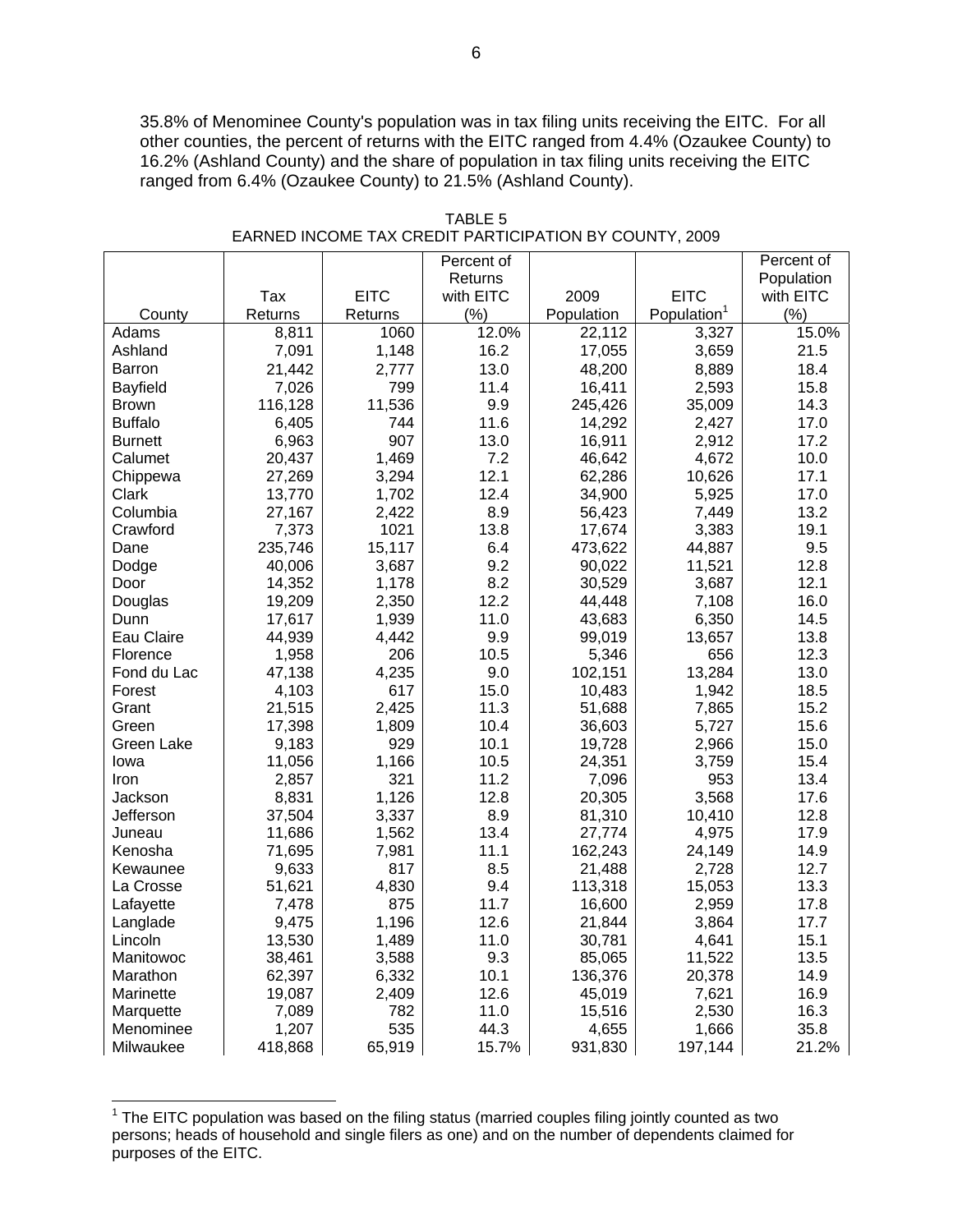35.8% of Menominee County's population was in tax filing units receiving the EITC. For all other counties, the percent of returns with the EITC ranged from 4.4% (Ozaukee County) to 16.2% (Ashland County) and the share of population in tax filing units receiving the EITC ranged from 6.4% (Ozaukee County) to 21.5% (Ashland County).

|                |         |             | Percent of |            |                         | Percent of |
|----------------|---------|-------------|------------|------------|-------------------------|------------|
|                |         |             | Returns    |            |                         | Population |
|                | Tax     | <b>EITC</b> | with EITC  | 2009       | <b>EITC</b>             | with EITC  |
| County         | Returns | Returns     | (% )       | Population | Population <sup>1</sup> | (% )       |
| Adams          | 8,811   | 1060        | 12.0%      | 22,112     | 3,327                   | 15.0%      |
| Ashland        | 7,091   | 1,148       | 16.2       | 17,055     | 3,659                   | 21.5       |
| Barron         | 21,442  | 2,777       | 13.0       | 48,200     | 8,889                   | 18.4       |
| Bayfield       | 7,026   | 799         | 11.4       | 16,411     | 2,593                   | 15.8       |
| <b>Brown</b>   | 116,128 | 11,536      | 9.9        | 245,426    | 35,009                  | 14.3       |
| <b>Buffalo</b> | 6,405   | 744         | 11.6       | 14,292     | 2,427                   | 17.0       |
| <b>Burnett</b> | 6,963   | 907         | 13.0       | 16,911     | 2,912                   | 17.2       |
| Calumet        | 20,437  | 1,469       | 7.2        | 46,642     | 4,672                   | 10.0       |
| Chippewa       | 27,269  | 3,294       | 12.1       | 62,286     | 10,626                  | 17.1       |
| Clark          | 13,770  | 1,702       | 12.4       | 34,900     | 5,925                   | 17.0       |
| Columbia       | 27,167  | 2,422       | 8.9        | 56,423     | 7,449                   | 13.2       |
| Crawford       | 7,373   | 1021        | 13.8       | 17,674     | 3,383                   | 19.1       |
| Dane           | 235,746 | 15,117      | 6.4        | 473,622    | 44,887                  | 9.5        |
| Dodge          | 40,006  | 3,687       | 9.2        | 90,022     | 11,521                  | 12.8       |
| Door           | 14,352  | 1,178       | 8.2        | 30,529     | 3,687                   | 12.1       |
| Douglas        | 19,209  | 2,350       | 12.2       | 44,448     | 7,108                   | 16.0       |
| Dunn           | 17,617  | 1,939       | 11.0       | 43,683     | 6,350                   | 14.5       |
| Eau Claire     | 44,939  | 4,442       | 9.9        | 99,019     | 13,657                  | 13.8       |
| Florence       | 1,958   | 206         | 10.5       | 5,346      | 656                     | 12.3       |
| Fond du Lac    | 47,138  | 4,235       | 9.0        | 102,151    | 13,284                  | 13.0       |
| Forest         | 4,103   | 617         | 15.0       | 10,483     | 1,942                   | 18.5       |
| Grant          | 21,515  | 2,425       | 11.3       | 51,688     | 7,865                   | 15.2       |
| Green          | 17,398  | 1,809       | 10.4       | 36,603     | 5,727                   | 15.6       |
| Green Lake     | 9,183   | 929         | 10.1       | 19,728     | 2,966                   | 15.0       |
| lowa           | 11,056  | 1,166       | 10.5       | 24,351     | 3,759                   | 15.4       |
| Iron           | 2,857   | 321         | 11.2       | 7,096      | 953                     | 13.4       |
| Jackson        | 8,831   | 1,126       | 12.8       | 20,305     | 3,568                   | 17.6       |
| Jefferson      | 37,504  | 3,337       | 8.9        | 81,310     | 10,410                  | 12.8       |
| Juneau         | 11,686  | 1,562       | 13.4       | 27,774     | 4,975                   | 17.9       |
| Kenosha        | 71,695  | 7,981       | 11.1       | 162,243    | 24,149                  | 14.9       |
| Kewaunee       | 9,633   | 817         | 8.5        | 21,488     | 2,728                   | 12.7       |
| La Crosse      | 51,621  | 4,830       | 9.4        | 113,318    | 15,053                  | 13.3       |
| Lafayette      | 7,478   | 875         | 11.7       | 16,600     | 2,959                   | 17.8       |
| Langlade       | 9,475   | 1,196       | 12.6       | 21,844     | 3,864                   | 17.7       |
| Lincoln        | 13,530  | 1,489       | 11.0       | 30,781     | 4,641                   | 15.1       |
| Manitowoc      | 38,461  | 3,588       | 9.3        | 85,065     | 11,522                  | 13.5       |
| Marathon       | 62,397  | 6,332       | 10.1       | 136,376    | 20,378                  | 14.9       |
| Marinette      | 19,087  | 2,409       | 12.6       | 45,019     | 7,621                   | 16.9       |
| Marquette      | 7,089   | 782         | 11.0       | 15,516     | 2,530                   | 16.3       |
| Menominee      | 1,207   | 535         | 44.3       | 4,655      | 1,666                   | 35.8       |
| Milwaukee      | 418,868 | 65,919      | 15.7%      | 931,830    | 197,144                 | 21.2%      |

TABLE 5 EARNED INCOME TAX CREDIT PARTICIPATION BY COUNTY, 2009

THE EITC population was based on the filing status (married couples filing jointly counted as two the EITC population was based on the filing status (married couples filing jointly counted as two persons; heads of household and single filers as one) and on the number of dependents claimed for purposes of the EITC.